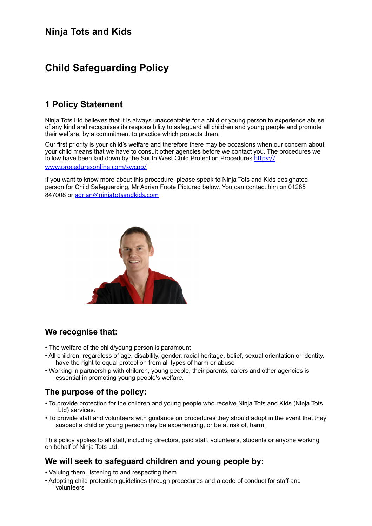# **Ninja Tots and Kids**

# **Child Safeguarding Policy**

# **1 Policy Statement**

Ninja Tots Ltd believes that it is always unacceptable for a child or young person to experience abuse of any kind and recognises its responsibility to safeguard all children and young people and promote their welfare, by a commitment to practice which protects them.

Our first priority is your child's welfare and therefore there may be occasions when our concern about your child means that we have to consult other agencies before we contact you. The procedures we follow have been laid down by the South West Child Protection Procedures https:// [www.proceduresonline.com/swcpp/](https://www.proceduresonline.com/swcpp/)

If you want to know more about this procedure, please speak to Ninja Tots and Kids designated person for Child Safeguarding, Mr Adrian Foote Pictured below. You can contact him on 01285 847008 or adrian@niniatotsandkids.com



### **We recognise that:**

- The welfare of the child/young person is paramount
- All children, regardless of age, disability, gender, racial heritage, belief, sexual orientation or identity, have the right to equal protection from all types of harm or abuse
- Working in partnership with children, young people, their parents, carers and other agencies is essential in promoting young people's welfare.

## **The purpose of the policy:**

- To provide protection for the children and young people who receive Ninja Tots and Kids (Ninja Tots Ltd) services.
- To provide staff and volunteers with guidance on procedures they should adopt in the event that they suspect a child or young person may be experiencing, or be at risk of, harm.

This policy applies to all staff, including directors, paid staff, volunteers, students or anyone working on behalf of Ninja Tots Ltd.

## **We will seek to safeguard children and young people by:**

- Valuing them, listening to and respecting them
- Adopting child protection guidelines through procedures and a code of conduct for staff and volunteers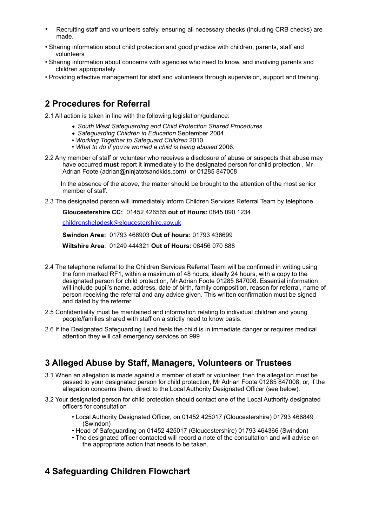- Recruiting staff and volunteers safely, ensuring all necessary checks (including CRB checks) are made.
- Sharing information about child protection and good practice with children, parents, staff and volunteers
- Sharing information about concerns with agencies who need to know, and involving parents and children appropriately
- Providing effective management for staff and volunteers through supervision, support and training.

# **2 Procedures for Referral**

2.1 All action is taken in line with the following legislation/guidance:

- *South West Safeguarding and Child Protection Shared Procedures*
- *Safeguarding Children in Education* September 2004
- *Working Together to Safeguard Children* 2010
- *What to do if you're worried a child is being abused* 2006.
- 2.2 Any member of staff or volunteer who receives a disclosure of abuse or suspects that abuse may have occurred **must** report it immediately to the designated person for child protection , Mr Adrian Foote (adrian@ninjatotsandkids.com) or 01285 847008

 In the absence of the above, the matter should be brought to the attention of the most senior member of staff.

2.3 The designated person will immediately inform Children Services Referral Team by telephone.

**Gloucestershire CC:** 01452 426565 **out of Hours:** 0845 090 1234

[childrenshelpdesk@gloucestershire.gov.uk](mailto:childrenshelpdesk@gloucestershire.gov.uk)

**Swindon Area:** 01793 466903 **Out of hours:** 01793 436699

**Wiltshire Area**: 01249 444321 **Out of Hours:** 08456 070 888

- 2.4 The telephone referral to the Children Services Referral Team will be confirmed in writing using the form marked RF1, within a maximum of 48 hours, ideally 24 hours, with a copy to the designated person for child protection, Mr Adrian Foote 01285 847008. Essential information will include pupil's name, address, date of birth, family composition, reason for referral, name of person receiving the referral and any advice given. This written confirmation must be signed and dated by the referrer.
- 2.5 Confidentiality must be maintained and information relating to individual children and young people/families shared with staff on a strictly need to know basis.
- 2.6 If the Designated Safeguarding Lead feels the child is in immediate danger or requires medical attention they will call emergency services on 999

# **3 Alleged Abuse by Staff, Managers, Volunteers or Trustees**

- 3.1 When an allegation is made against a member of staff or volunteer, then the allegation must be passed to your designated person for child protection, Mr Adrian Foote 01285 847008, or, if the allegation concerns them, direct to the Local Authority Designated Officer (see below).
- 3.2 Your designated person for child protection should contact one of the Local Authority designated officers for consultation
	- Local Authority Designated Officer, on 01452 425017 (Gloucestershire) 01793 466849 (Swindon)
	- Head of Safeguarding on 01452 425017 (Gloucestershire) 01793 464366 (Swindon)
	- The designated officer contacted will record a note of the consultation and will advise on the appropriate action that needs to be taken.

# **4 Safeguarding Children Flowchart**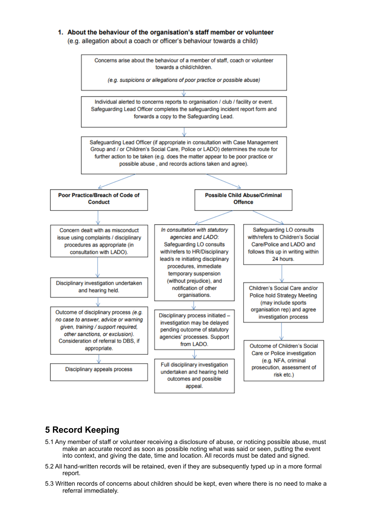#### 1. About the behaviour of the organisation's staff member or volunteer

(e.g. allegation about a coach or officer's behaviour towards a child)



# **5 Record Keeping**

- 5.1 Any member of staff or volunteer receiving a disclosure of abuse, or noticing possible abuse, must make an accurate record as soon as possible noting what was said or seen, putting the event into context, and giving the date, time and location. All records must be dated and signed.
- 5.2 All hand-written records will be retained, even if they are subsequently typed up in a more formal report.
- 5.3 Written records of concerns about children should be kept, even where there is no need to make a referral immediately.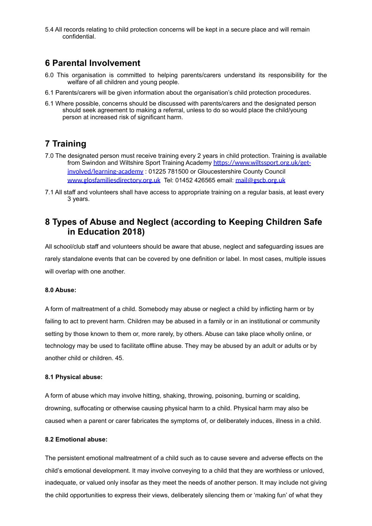5.4 All records relating to child protection concerns will be kept in a secure place and will remain confidential.

## **6 Parental Involvement**

- 6.0 This organisation is committed to helping parents/carers understand its responsibility for the welfare of all children and young people.
- 6.1 Parents/carers will be given information about the organisation's child protection procedures.
- 6.1 Where possible, concerns should be discussed with parents/carers and the designated person should seek agreement to making a referral, unless to do so would place the child/young person at increased risk of significant harm.

# **7 Training**

- 7.0 The designated person must receive training every 2 years in child protection. Training is available from Swindon and Wiltshire Sport Training Academy https://www.wiltssport.org.uk/get[involved/learning-academy](https://www.wiltssport.org.uk/get-involved/learning-academy) : 01225 781500 or Gloucestershire County Council [www.glosfamiliesdirectory.org.uk](http://www.glosfamiliesdirectory.org.uk) Tel: 01452 426565 email: [mail@gscb.org.uk](mailto:mail@gscb.org.uk)
- 7.1 All staff and volunteers shall have access to appropriate training on a regular basis, at least every 3 years.

## **8 Types of Abuse and Neglect (according to Keeping Children Safe in Education 2018)**

All school/club staff and volunteers should be aware that abuse, neglect and safeguarding issues are rarely standalone events that can be covered by one definition or label. In most cases, multiple issues will overlap with one another.

### **8.0 Abuse:**

A form of maltreatment of a child. Somebody may abuse or neglect a child by inflicting harm or by failing to act to prevent harm. Children may be abused in a family or in an institutional or community setting by those known to them or, more rarely, by others. Abuse can take place wholly online, or technology may be used to facilitate offline abuse. They may be abused by an adult or adults or by another child or children. 45.

### **8.1 Physical abuse:**

A form of abuse which may involve hitting, shaking, throwing, poisoning, burning or scalding, drowning, suffocating or otherwise causing physical harm to a child. Physical harm may also be caused when a parent or carer fabricates the symptoms of, or deliberately induces, illness in a child.

### **8.2 Emotional abuse:**

The persistent emotional maltreatment of a child such as to cause severe and adverse effects on the child's emotional development. It may involve conveying to a child that they are worthless or unloved, inadequate, or valued only insofar as they meet the needs of another person. It may include not giving the child opportunities to express their views, deliberately silencing them or 'making fun' of what they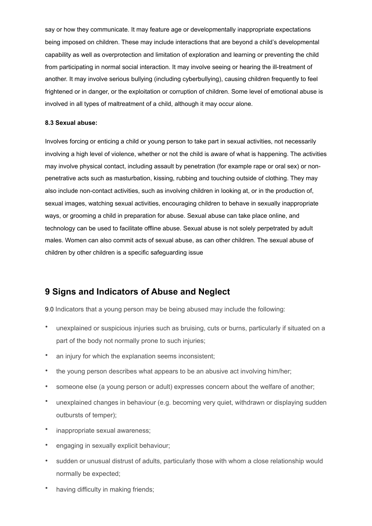say or how they communicate. It may feature age or developmentally inappropriate expectations being imposed on children. These may include interactions that are beyond a child's developmental capability as well as overprotection and limitation of exploration and learning or preventing the child from participating in normal social interaction. It may involve seeing or hearing the ill-treatment of another. It may involve serious bullying (including cyberbullying), causing children frequently to feel frightened or in danger, or the exploitation or corruption of children. Some level of emotional abuse is involved in all types of maltreatment of a child, although it may occur alone.

#### **8.3 Sexual abuse:**

Involves forcing or enticing a child or young person to take part in sexual activities, not necessarily involving a high level of violence, whether or not the child is aware of what is happening. The activities may involve physical contact, including assault by penetration (for example rape or oral sex) or nonpenetrative acts such as masturbation, kissing, rubbing and touching outside of clothing. They may also include non-contact activities, such as involving children in looking at, or in the production of, sexual images, watching sexual activities, encouraging children to behave in sexually inappropriate ways, or grooming a child in preparation for abuse. Sexual abuse can take place online, and technology can be used to facilitate offline abuse. Sexual abuse is not solely perpetrated by adult males. Women can also commit acts of sexual abuse, as can other children. The sexual abuse of children by other children is a specific safeguarding issue

## **9 Signs and Indicators of Abuse and Neglect**

9.0 Indicators that a young person may be being abused may include the following:

- unexplained or suspicious injuries such as bruising, cuts or burns, particularly if situated on a part of the body not normally prone to such injuries;
- an injury for which the explanation seems inconsistent;
- the young person describes what appears to be an abusive act involving him/her;
- someone else (a young person or adult) expresses concern about the welfare of another;
- unexplained changes in behaviour (e.g. becoming very quiet, withdrawn or displaying sudden outbursts of temper);
- inappropriate sexual awareness;
- engaging in sexually explicit behaviour;
- sudden or unusual distrust of adults, particularly those with whom a close relationship would normally be expected;
- having difficulty in making friends;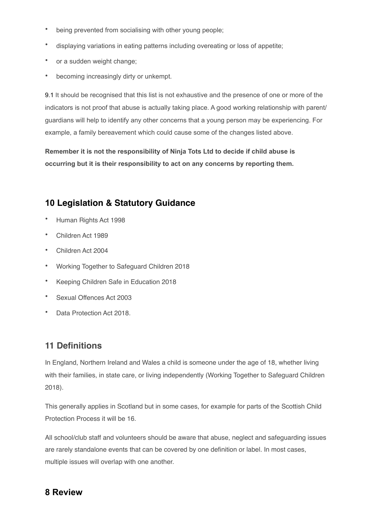- being prevented from socialising with other young people;
- displaying variations in eating patterns including overeating or loss of appetite;
- or a sudden weight change;
- becoming increasingly dirty or unkempt.

9.1 It should be recognised that this list is not exhaustive and the presence of one or more of the indicators is not proof that abuse is actually taking place. A good working relationship with parent/ guardians will help to identify any other concerns that a young person may be experiencing. For example, a family bereavement which could cause some of the changes listed above.

**Remember it is not the responsibility of Ninja Tots Ltd to decide if child abuse is occurring but it is their responsibility to act on any concerns by reporting them.** 

# **10 Legislation & Statutory Guidance**

- Human Rights Act 1998
- Children Act 1989
- Children Act 2004
- Working Together to Safeguard Children 2018
- Keeping Children Safe in Education 2018
- Sexual Offences Act 2003
- Data Protection Act 2018.

# **11 Definitions**

In England, Northern Ireland and Wales a child is someone under the age of 18, whether living with their families, in state care, or living independently (Working Together to Safeguard Children 2018).

This generally applies in Scotland but in some cases, for example for parts of the Scottish Child Protection Process it will be 16.

All school/club staff and volunteers should be aware that abuse, neglect and safeguarding issues are rarely standalone events that can be covered by one definition or label. In most cases, multiple issues will overlap with one another.

## **8 Review**